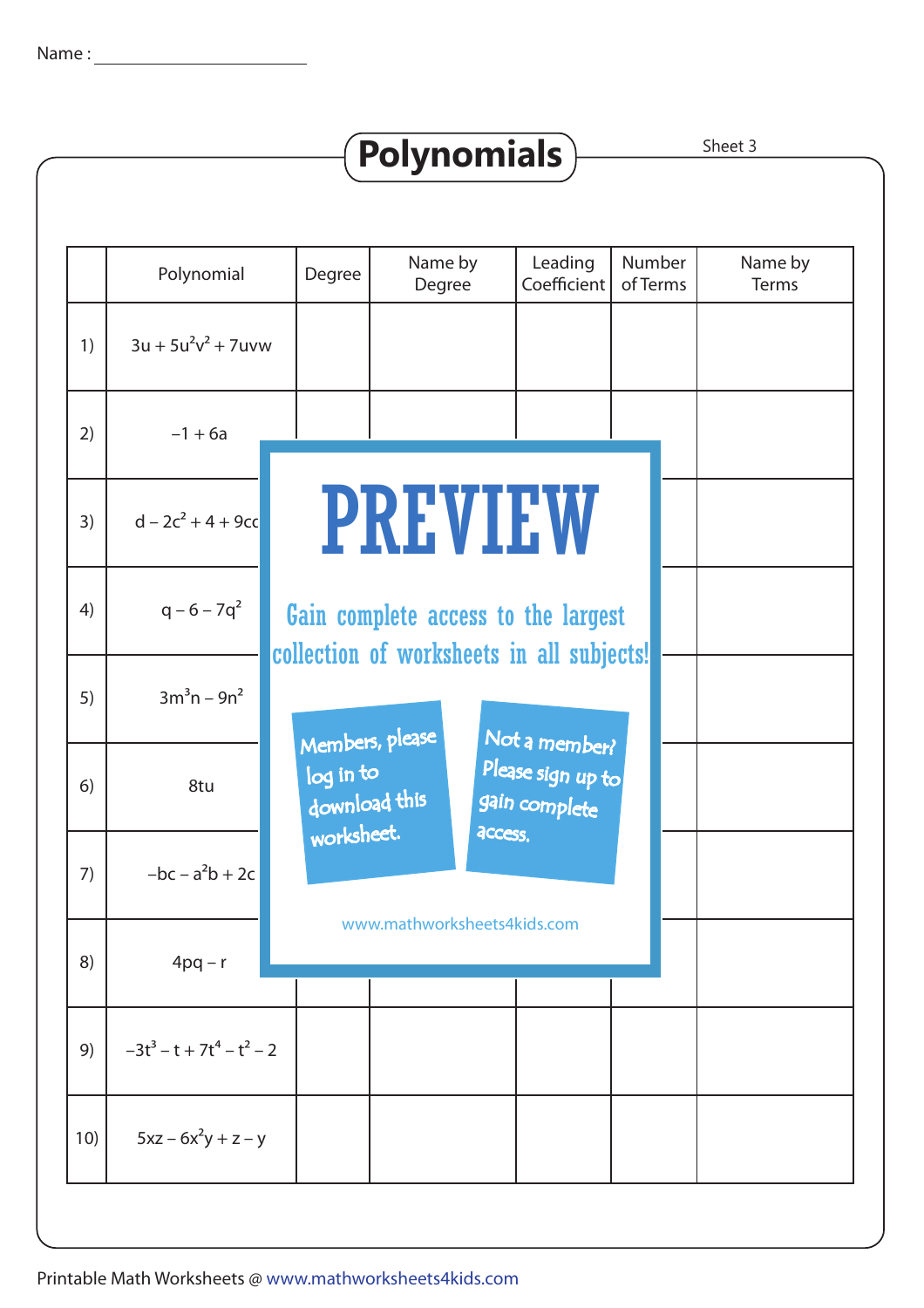